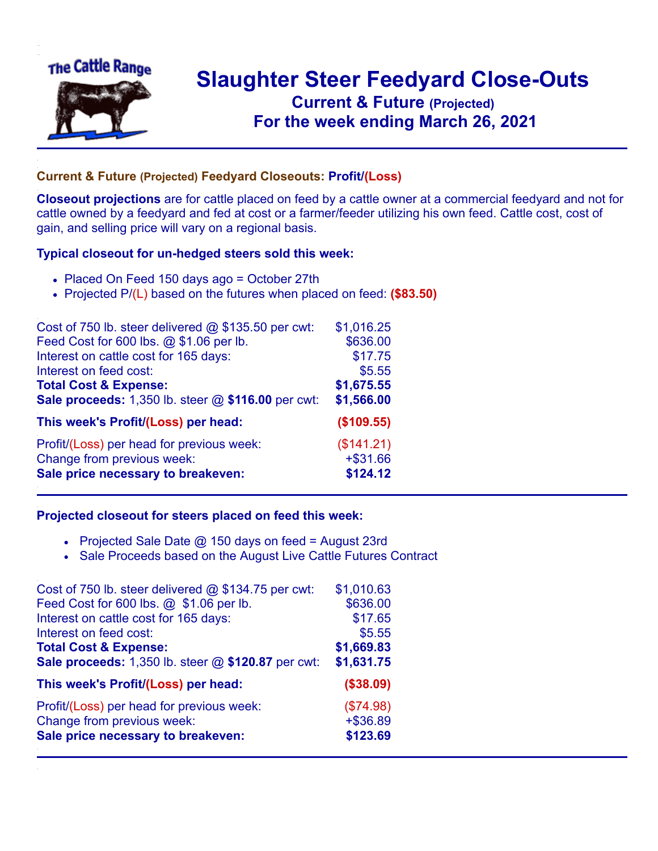

## **Slaughter Steer Feedyard Close-Outs Current & Future (Projected)** .**For the week ending March 26, 2021**

## **Current & Future (Projected) Feedyard Closeouts: Profit/(Loss)**

**Closeout projections** are for cattle placed on feed by a cattle owner at a commercial feedyard and not for cattle owned by a feedyard and fed at cost or a farmer/feeder utilizing his own feed. Cattle cost, cost of gain, and selling price will vary on a regional basis.

## **Typical closeout for un-hedged steers sold this week:**

- Placed On Feed 150 days ago = October 27th
- Projected P/(L) based on the futures when placed on feed: **(\$83.50)**

| Cost of 750 lb. steer delivered $@$ \$135.50 per cwt: | \$1,016.25 |
|-------------------------------------------------------|------------|
| Feed Cost for 600 lbs. @ \$1.06 per lb.               | \$636.00   |
| Interest on cattle cost for 165 days:                 | \$17.75    |
| Interest on feed cost:                                | \$5.55     |
| <b>Total Cost &amp; Expense:</b>                      | \$1,675.55 |
| Sale proceeds: 1,350 lb. steer @ \$116.00 per cwt:    | \$1,566.00 |
| This week's Profit/(Loss) per head:                   | (\$109.55) |
| Profit/(Loss) per head for previous week:             | (\$141.21) |
| Change from previous week:                            | $+ $31.66$ |
| Sale price necessary to breakeven:                    | \$124.12   |

## **Projected closeout for steers placed on feed this week:**

- Projected Sale Date  $@$  150 days on feed = August 23rd
- Sale Proceeds based on the August Live Cattle Futures Contract

| Cost of 750 lb. steer delivered $@$ \$134.75 per cwt: | \$1,010.63 |
|-------------------------------------------------------|------------|
| Feed Cost for 600 lbs. @ \$1.06 per lb.               | \$636.00   |
| Interest on cattle cost for 165 days:                 | \$17.65    |
| Interest on feed cost:                                | \$5.55     |
| <b>Total Cost &amp; Expense:</b>                      | \$1,669.83 |
| Sale proceeds: 1,350 lb. steer @ \$120.87 per cwt:    | \$1,631.75 |
| This week's Profit/(Loss) per head:                   | (\$38.09)  |
| Profit/(Loss) per head for previous week:             | (\$74.98)  |
| Change from previous week:                            | $+ $36.89$ |
| Sale price necessary to breakeven:                    | \$123.69   |